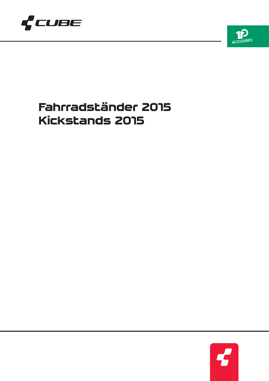



# **Fahrradständer 2015 Kickstands 2015**

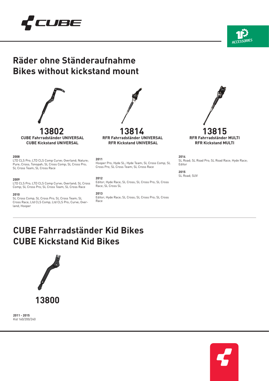





**CUBE Fahrradständer UNIVERSAL CUBE Kickstand UNIVERSAL**

# **2008**

LTD CLS Pro; LTD CLS Comp Curve; Overland; Nature; Pure; Cross; Tonopah; SL Cross Comp; SL Cross Pro; SL Cross Team; SL Cross Race

## **2009**

LTD CLS Pro; LTD CLS Comp Curve; Overland; SL Cross Comp; SL Cross Pro; SL Cross Team; SL Cross Race

#### **2010**

SL Cross Comp; SL Cross Pro; SL Cross Team; SL Cross Race; Ltd CLS Comp; Ltd CLS Pro; Curve; Overland; Hooper

**13802 13814 13815 RFR Fahrradständer UNIVERSAL RFR Kickstand UNIVERSAL**

### **2011**

Hooper Pro; Hyde SL; Hyde Team; SL Cross Comp; SL Cross Pro; SL Cross Team; SL Cross Race

# **2012**

Editor; Hyde Race; SL Cross; SL Cross Pro; SL Cross Race; SL Cross SL

**2013** Editor; Hyde Race; SL Cross; SL Cross Pro; SL Cross Race



**2014** SL Road; SL Road Pro; SL Road Race; Hyde Race; Editor

**2015** SL Road; SUV

# **CUBE Fahrradständer Kid Bikes CUBE Kickstand Kid Bikes**



**2011 - 2015** Kid 160/200/240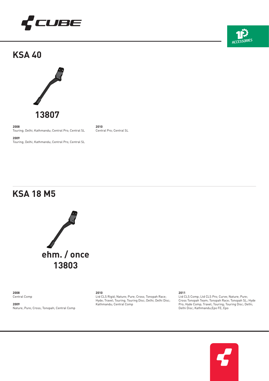

**KSA 40**



**2008** Touring; Delhi; Kathmandu; Central Pro; Central SL

**2009** Touring; Delhi; Kathmandu; Central Pro; Central SL

**2010** Central Pro; Central SL

# **KSA 18 M5**



**2008** Central Comp

**2009** Nature; Pure; Cross; Tonopah; Central Comp

# **2010**

Ltd CLS Rigid; Nature; Pure; Cross; Tonopah Race; Hyde; Travel; Touring; Touring Disc; Delhi; Delhi Disc; Kathmandu; Central Comp

**2011**

Ltd CLS Comp; Ltd CLS Pro; Curve; Nature; Pure; Cross Tonopah Team; Tonopah Race; Tonopah SL; Hyde Pro; Hyde Comp; Travel; Touring; Touring Disc; Delhi; Delhi Disc; Kathmandu;Epo FE; Epo



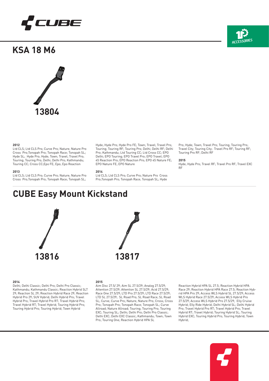

**KSA 18 M6**



# **2012**

Ltd CLS; Ltd CLS Pro; Curve Pro; Nature; Nature Pro Cross Pro;Tonopah Pro; Tonopah Race; Tonopah SL; Hyde SL; Hyde Pro; Hyde; Town; Travel; Travel Pro; Touring; Touring Pro; Delhi; Delhi Pro; Kathmandu; Touring CC; Cross CC;Epo FE; Epo; Epo Reaction

### **2013**

Ltd CLS; Ltd CLS Pro; Curve Pro; Nature; Nature Pro Cross Pro;Tonopah Pro; Tonopah Race; Tonopah SL;

#### Hyde; Hyde Pro; Hyde Pro FE; Town; Travel; Travel Pro; Touring; Touring RF; Touring Pro; Delhi; Delhi RF; Delhi Pro; Kathmandu; Ltd Touring CC; Ltd Cross CC; EPO Delhi; EPO Touring; EPO Travel Pro; EPO Travel; EPO 45 Reaction Pro; EPO Reaction Pro; EPO 45 Nature FE; EPO Nature FE; EPO Nature

#### **2014**

Ltd CLS; Ltd CLS Pro; Curve Pro; Nature Pro Cross Pro;Tonopah Pro; Tonopah Race; Tonopah SL; Hyde

Pro; Hyde; Town; Travel Pro; Touring; Touring Pro; Travel City; Touring City; Travel Pro RF; Touring RF; Touring Pro RF; Delhi RF

### **2015**

Hyde; Hyde Pro; Travel RF; Travel Pro RF; Travel EXC RF







### **2014**

Delhi; Delhi Classic; Delhi Pro; Delhi Pro Classic; Kathmandu; Kathmandu Classic; Reaction Hybrid SLT 29; Reaction SL 29; Reaction Hybrid Race 29; Reaction Hybrid Pro 29; SUV Hybrid; Delhi Hybrid Pro; Travel Hybrid Pro; Travel Hybrid Pro RT; Travel Hybrid Pro; Travel Hybrid RT; Travel Hybrid; Touring Hybrid Pro; Touring Hybrid Pro; Touring Hybrid; Town Hybrid

### **2015**

Aim Disc 27.5/ 29; Aim SL 27.5/29; Analog 27.5/29; Attention 27.5/29; Attention SL 27.5/29; Acid 27.5/29; Race One 27.5/29; LTD Pro 27.5/29; LTD Race 27.5/29; LTD SL 27.5/29; SL Road Pro; SL Road Race; SL Road SL; Curve; Curve Pro; Nature; Nature Pro; Cross; Cross Pro; Tonopah Pro; Tonopah Race; Tonopah SL; Curve Allroad; Nature Allroad; Touring; Touring Pro; Touring EXC; Touring SL; Delhi; Delhi Pro; Delhi Pro Classic; Delhi EXC; Delhi EXC Classic; Kathmandu; Town; Town Pro; Touring One; Reaction Hybrid HPA SL

Reaction Hybrid HPA SL 27.5; Reaction Hybrid HPA Race 29; Reaction Hybrid HPA Race 27.5; Reaction Hybrid HPA Pro 29; Access WLS Hybrid SL 27.5/29; Access WLS Hybrid Race 27.5/29; Access WLS Hybrid Pro 27.5/29; Access WLS Hybrid Pro 27.5/29; Elly Cruise Hybrid; Elly Ride Hybrid; Delhi Hybrid SL; Delhi Hybrid Pro; Travel Hybrid Pro RT; Travel Hybrid Pro; Travel Hybrid RT; Travel Hybrid; Touring Hybrid SL; Touring Hybrid EXC; Touring Hybrid Pro; Touring Hybrid; Town Hybrid;